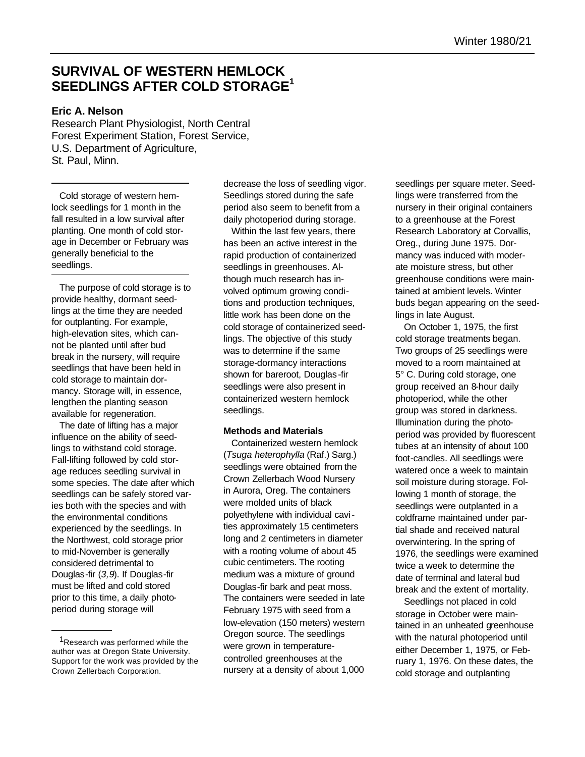# **SURVIVAL OF WESTERN HEMLOCK SEEDLINGS AFTER COLD STORAGE<sup>1</sup>**

## **Eric A. Nelson**

Research Plant Physiologist, North Central Forest Experiment Station, Forest Service, U.S. Department of Agriculture, St. Paul, Minn.

Cold storage of western hemlock seedlings for 1 month in the fall resulted in a low survival after planting. One month of cold storage in December or February was generally beneficial to the seedlings.

The purpose of cold storage is to provide healthy, dormant seedlings at the time they are needed for outplanting. For example, high-elevation sites, which cannot be planted until after bud break in the nursery, will require seedlings that have been held in cold storage to maintain dormancy. Storage will, in essence, lengthen the planting season available for regeneration.

The date of lifting has a major influence on the ability of seedlings to withstand cold storage. Fall-lifting followed by cold storage reduces seedling survival in some species. The date after which seedlings can be safely stored varies both with the species and with the environmental conditions experienced by the seedlings. In the Northwest, cold storage prior to mid-November is generally considered detrimental to Douglas-fir (*3,9*). If Douglas-fir must be lifted and cold stored prior to this time, a daily photoperiod during storage will

decrease the loss of seedling vigor. Seedlings stored during the safe period also seem to benefit from a daily photoperiod during storage.

Within the last few years, there has been an active interest in the rapid production of containerized seedlings in greenhouses. Although much research has involved optimum growing conditions and production techniques, little work has been done on the cold storage of containerized seedlings. The objective of this study was to determine if the same storage-dormancy interactions shown for bareroot, Douglas -fir seedlings were also present in containerized western hemlock seedlings.

#### **Methods and Materials**

Containerized western hemlock (*Tsuga heterophylla* (Raf.) Sarg.) seedlings were obtained from the Crown Zellerbach Wood Nursery in Aurora, Oreg. The containers were molded units of black polyethylene with individual cavities approximately 15 centimeters long and 2 centimeters in diameter with a rooting volume of about 45 cubic centimeters. The rooting medium was a mixture of ground Douglas-fir bark and peat moss. The containers were seeded in late February 1975 with seed from a low-elevation (150 meters) western Oregon source. The seedlings were grown in temperaturecontrolled greenhouses at the nursery at a density of about 1,000

seedlings per square meter. Seedlings were transferred from the nursery in their original containers to a greenhouse at the Forest Research Laboratory at Corvallis, Oreg., during June 1975. Dormancy was induced with moderate moisture stress, but other greenhouse conditions were maintained at ambient levels. Winter buds began appearing on the seedlings in late August.

On October 1, 1975, the first cold storage treatments began. Two groups of 25 seedlings were moved to a room maintained at 5° C. During cold storage, one group received an 8-hour daily photoperiod, while the other group was stored in darkness. Illumination during the photoperiod was provided by fluorescent tubes at an intensity of about 100 foot-candles. All seedlings were watered once a week to maintain soil moisture during storage. Following 1 month of storage, the seedlings were outplanted in a coldframe maintained under partial shade and received natural overwintering. In the spring of 1976, the seedlings were examined twice a week to determine the date of terminal and lateral bud break and the extent of mortality.

Seedlings not placed in cold storage in October were maintained in an unheated greenhouse with the natural photoperiod until either December 1, 1975, or February 1, 1976. On these dates, the cold storage and outplanting

<sup>&</sup>lt;sup>1</sup>Research was performed while the author was at Oregon State University. Support for the work was provided by the Crown Zellerbach Corporation.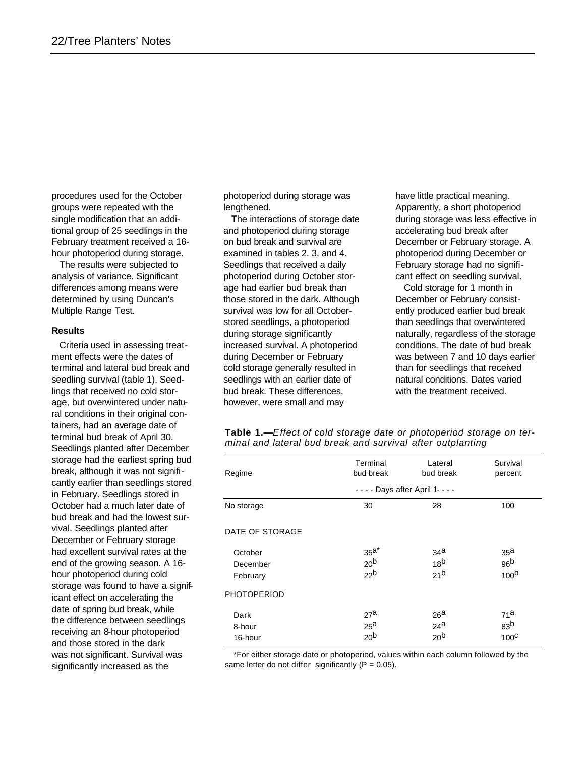procedures used for the October groups were repeated with the single modification that an additional group of 25 seedlings in the February treatment received a 16 hour photoperiod during storage.

The results were subjected to analysis of variance. Significant differences among means were determined by using Duncan's Multiple Range Test.

#### **Results**

Criteria used in assessing treatment effects were the dates of terminal and lateral bud break and seedling survival (table 1). Seedlings that received no cold storage, but overwintered under natural conditions in their original containers, had an average date of terminal bud break of April 30. Seedlings planted after December storage had the earliest spring bud break, although it was not significantly earlier than seedlings stored in February. Seedlings stored in October had a much later date of bud break and had the lowest survival. Seedlings planted after December or February storage had excellent survival rates at the end of the growing season. A 16 hour photoperiod during cold storage was found to have a significant effect on accelerating the date of spring bud break, while the difference between seedlings receiving an 8-hour photoperiod and those stored in the dark was not significant. Survival was significantly increased as the

photoperiod during storage was lengthened.

The interactions of storage date and photoperiod during storage on bud break and survival are examined in tables 2, 3, and 4. Seedlings that received a daily photoperiod during October storage had earlier bud break than those stored in the dark. Although survival was low for all Octoberstored seedlings, a photoperiod during storage significantly increased survival. A photoperiod during December or February cold storage generally resulted in seedlings with an earlier date of bud break. These differences, however, were small and may

have little practical meaning. Apparently, a short photoperiod during storage was less effective in accelerating bud break after December or February storage. A photoperiod during December or February storage had no significant effect on seedling survival.

Cold storage for 1 month in December or February consistently produced earlier bud break than seedlings that overwintered naturally, regardless of the storage conditions. The date of bud break was between 7 and 10 days earlier than for seedlings that received natural conditions. Dates varied with the treatment received.

| Table 1.-Effect of cold storage date or photoperiod storage on ter- |  |  |
|---------------------------------------------------------------------|--|--|
| minal and lateral bud break and survival after outplanting          |  |  |

| Regime                          | Terminal<br>bud break                                 | Lateral<br>bud break                                  | Survival<br>percent                                    |
|---------------------------------|-------------------------------------------------------|-------------------------------------------------------|--------------------------------------------------------|
|                                 |                                                       | - - - - Days after April 1- - - -                     |                                                        |
| No storage                      | 30                                                    | 28                                                    | 100                                                    |
| DATE OF STORAGE                 |                                                       |                                                       |                                                        |
| October<br>December<br>February | 35 <sup>a</sup><br>20 <sup>b</sup><br>22 <sup>b</sup> | 34 <sup>a</sup><br>18 <sup>b</sup><br>21 <sup>b</sup> | 35 <sup>a</sup><br>96 <sup>b</sup><br>100 <sup>b</sup> |
| <b>PHOTOPERIOD</b>              |                                                       |                                                       |                                                        |
| Dark<br>8-hour<br>16-hour       | 27a<br>25 <sup>a</sup><br>20 <sup>b</sup>             | 26 <sup>a</sup><br>$24^a$<br>20 <sup>b</sup>          | 71 <sup>a</sup><br>83 <sup>b</sup><br>$100^{\circ}$    |

\*For either storage date or photoperiod, values within each column followed by the same letter do not differ significantly  $(P = 0.05)$ .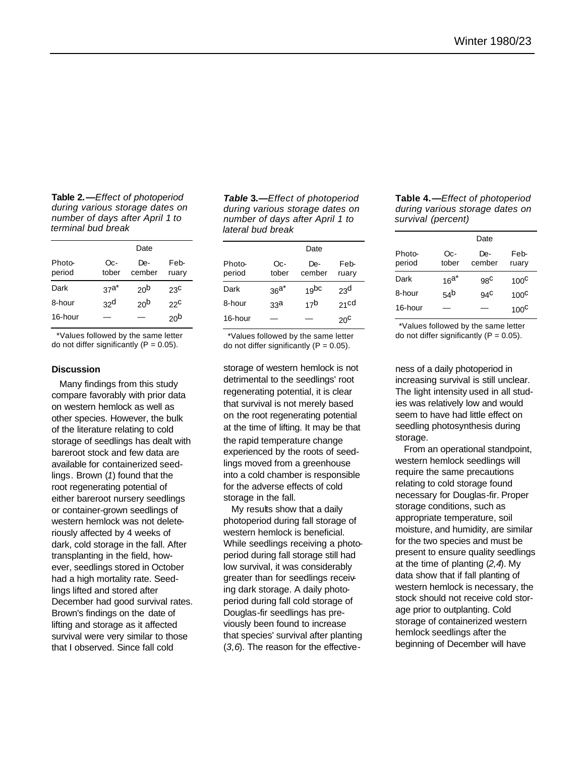**Table 2.—***Effect of photoperiod during various storage dates on number of days after April 1 to terminal bud break*

|                  | Date            |                 |                 |
|------------------|-----------------|-----------------|-----------------|
| Photo-<br>period | Oc-<br>tober    | De-<br>cember   | Feb-<br>ruary   |
| Dark             | $37^{a^*}$      | 20 <sup>b</sup> | 23 <sup>C</sup> |
| 8-hour           | 32 <sup>d</sup> | 20 <sup>b</sup> | 22C             |
| 16-hour          |                 |                 | 20 <sup>b</sup> |

\*Values followed by the same letter do not differ significantly  $(P = 0.05)$ .

#### **Discussion**

Many findings from this study compare favorably with prior data on western hemlock as well as other species. However, the bulk of the literature relating to cold storage of seedlings has dealt with bareroot stock and few data are available for containerized seedlings. Brown (*1*) found that the root regenerating potential of either bareroot nursery seedlings or container-grown seedlings of western hemlock was not deleteriously affected by 4 weeks of dark, cold storage in the fall. After transplanting in the field, however, seedlings stored in October had a high mortality rate. Seedlings lifted and stored after December had good survival rates. Brown's findings on the date of lifting and storage as it affected survival were very similar to those that I observed. Since fall cold

*Table* **3.—***Effect of photoperiod during various storage dates on number of days after April 1 to lateral bud break*

|                  |                 | Date             |                  |
|------------------|-----------------|------------------|------------------|
| Photo-<br>period | Oc-<br>tober    | De-<br>cember    | Feb-<br>ruary    |
| Dark             | $36a*$          | 19 <sub>bc</sub> | 23 <sup>d</sup>  |
| 8-hour           | 33 <sup>a</sup> | 17 <sup>b</sup>  | 21 <sub>cd</sub> |
| 16-hour          |                 |                  | 20 <sup>c</sup>  |

\*Values followed by the same letter do not differ significantly  $(P = 0.05)$ .

storage of western hemlock is not detrimental to the seedlings' root regenerating potential, it is clear that survival is not merely based on the root regenerating potential at the time of lifting. It may be that the rapid temperature change experienced by the roots of seedlings moved from a greenhouse into a cold chamber is responsible for the adverse effects of cold storage in the fall.

My results show that a daily photoperiod during fall storage of western hemlock is beneficial. While seedlings receiving a photoperiod during fall storage still had low survival, it was considerably greater than for seedlings receiving dark storage. A daily photoperiod during fall cold storage of Douglas-fir seedlings has previously been found to increase that species' survival after planting (*3,6*). The reason for the effective-

#### **Table 4.—***Effect of photoperiod during various storage dates on survival (percent)*

|                  |                 | Date            |               |
|------------------|-----------------|-----------------|---------------|
| Photo-<br>period | Oc-<br>tober    | De-<br>cember   | Feb-<br>ruary |
| Dark             | $16a^*$         | 98 <sup>C</sup> | $100^{\circ}$ |
| 8-hour           | 54 <sup>b</sup> | $94^{\circ}$    | $100^{\circ}$ |
| 16-hour          |                 |                 | $100^{\circ}$ |

\*Values followed by the same letter do not differ significantly  $(P = 0.05)$ .

ness of a daily photoperiod in increasing survival is still unclear. The light intensity used in all studies was relatively low and would seem to have had little effect on seedling photosynthesis during storage.

From an operational standpoint, western hemlock seedlings will require the same precautions relating to cold storage found necessary for Douglas-fir. Proper storage conditions, such as appropriate temperature, soil moisture, and humidity, are similar for the two species and must be present to ensure quality seedlings at the time of planting (*2,4*). My data show that if fall planting of western hemlock is necessary, the stock should not receive cold storage prior to outplanting. Cold storage of containerized western hemlock seedlings after the beginning of December will have